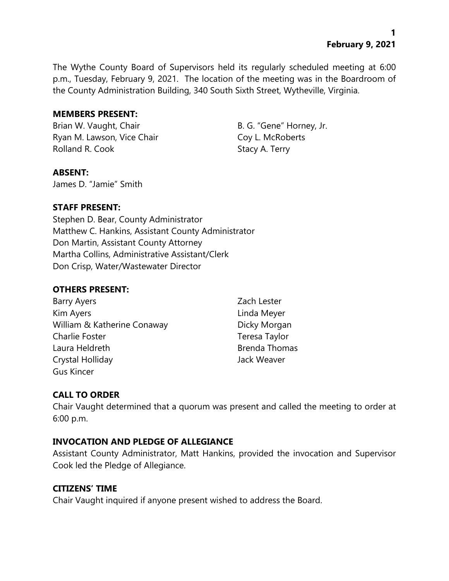The Wythe County Board of Supervisors held its regularly scheduled meeting at 6:00 p.m., Tuesday, February 9, 2021. The location of the meeting was in the Boardroom of the County Administration Building, 340 South Sixth Street, Wytheville, Virginia.

#### **MEMBERS PRESENT:**

Brian W. Vaught, Chair B. G. "Gene" Horney, Jr. Ryan M. Lawson, Vice Chair Coy L. McRoberts Rolland R. Cook Stacy A. Terry

### **ABSENT:**

James D. "Jamie" Smith

### **STAFF PRESENT:**

Stephen D. Bear, County Administrator Matthew C. Hankins, Assistant County Administrator Don Martin, Assistant County Attorney Martha Collins, Administrative Assistant/Clerk Don Crisp, Water/Wastewater Director

### **OTHERS PRESENT:**

Barry Ayers **Example 20** 2ach Lester Kim Ayers **Linda Meyer** William & Katherine Conaway **Dicky Morgan** Charlie Foster Teresa Taylor Laura Heldreth **Brenda Thomas** Crystal Holliday Jack Weaver Gus Kincer

## **CALL TO ORDER**

Chair Vaught determined that a quorum was present and called the meeting to order at 6:00 p.m.

### **INVOCATION AND PLEDGE OF ALLEGIANCE**

Assistant County Administrator, Matt Hankins, provided the invocation and Supervisor Cook led the Pledge of Allegiance.

### **CITIZENS' TIME**

Chair Vaught inquired if anyone present wished to address the Board.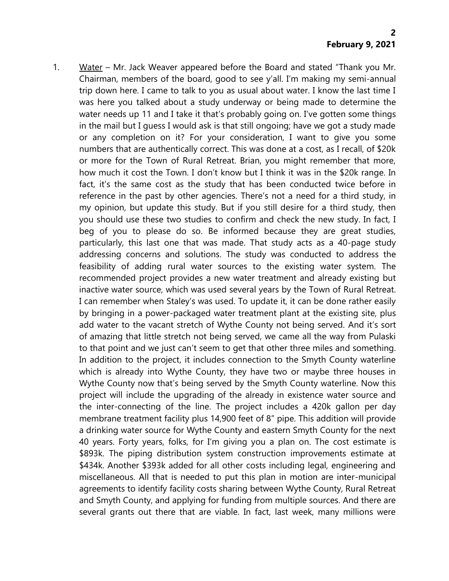1. Water – Mr. Jack Weaver appeared before the Board and stated "Thank you Mr. Chairman, members of the board, good to see y'all. I'm making my semi-annual trip down here. I came to talk to you as usual about water. I know the last time I was here you talked about a study underway or being made to determine the water needs up 11 and I take it that's probably going on. I've gotten some things in the mail but I guess I would ask is that still ongoing; have we got a study made or any completion on it? For your consideration, I want to give you some numbers that are authentically correct. This was done at a cost, as I recall, of \$20k or more for the Town of Rural Retreat. Brian, you might remember that more, how much it cost the Town. I don't know but I think it was in the \$20k range. In fact, it's the same cost as the study that has been conducted twice before in reference in the past by other agencies. There's not a need for a third study, in my opinion, but update this study. But if you still desire for a third study, then you should use these two studies to confirm and check the new study. In fact, I beg of you to please do so. Be informed because they are great studies, particularly, this last one that was made. That study acts as a 40-page study addressing concerns and solutions. The study was conducted to address the feasibility of adding rural water sources to the existing water system. The recommended project provides a new water treatment and already existing but inactive water source, which was used several years by the Town of Rural Retreat. I can remember when Staley's was used. To update it, it can be done rather easily by bringing in a power-packaged water treatment plant at the existing site, plus add water to the vacant stretch of Wythe County not being served. And it's sort of amazing that little stretch not being served, we came all the way from Pulaski to that point and we just can't seem to get that other three miles and something. In addition to the project, it includes connection to the Smyth County waterline which is already into Wythe County, they have two or maybe three houses in Wythe County now that's being served by the Smyth County waterline. Now this project will include the upgrading of the already in existence water source and the inter-connecting of the line. The project includes a 420k gallon per day membrane treatment facility plus 14,900 feet of 8" pipe. This addition will provide a drinking water source for Wythe County and eastern Smyth County for the next 40 years. Forty years, folks, for I'm giving you a plan on. The cost estimate is \$893k. The piping distribution system construction improvements estimate at \$434k. Another \$393k added for all other costs including legal, engineering and miscellaneous. All that is needed to put this plan in motion are inter-municipal agreements to identify facility costs sharing between Wythe County, Rural Retreat and Smyth County, and applying for funding from multiple sources. And there are several grants out there that are viable. In fact, last week, many millions were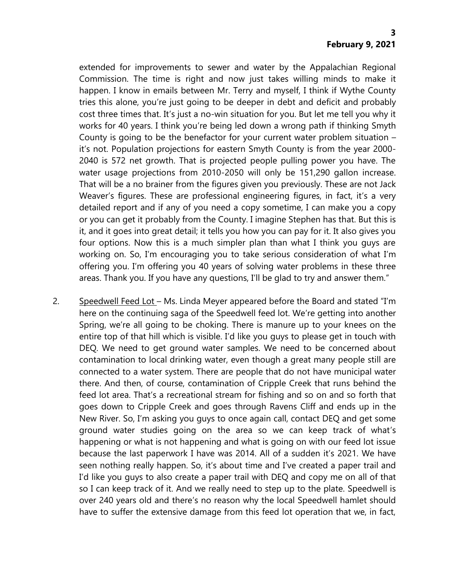extended for improvements to sewer and water by the Appalachian Regional Commission. The time is right and now just takes willing minds to make it happen. I know in emails between Mr. Terry and myself, I think if Wythe County tries this alone, you're just going to be deeper in debt and deficit and probably cost three times that. It's just a no-win situation for you. But let me tell you why it works for 40 years. I think you're being led down a wrong path if thinking Smyth County is going to be the benefactor for your current water problem situation – it's not. Population projections for eastern Smyth County is from the year 2000- 2040 is 572 net growth. That is projected people pulling power you have. The water usage projections from 2010-2050 will only be 151,290 gallon increase. That will be a no brainer from the figures given you previously. These are not Jack Weaver's figures. These are professional engineering figures, in fact, it's a very detailed report and if any of you need a copy sometime, I can make you a copy or you can get it probably from the County. I imagine Stephen has that. But this is it, and it goes into great detail; it tells you how you can pay for it. It also gives you four options. Now this is a much simpler plan than what I think you guys are working on. So, I'm encouraging you to take serious consideration of what I'm offering you. I'm offering you 40 years of solving water problems in these three areas. Thank you. If you have any questions, I'll be glad to try and answer them."

2. Speedwell Feed Lot – Ms. Linda Meyer appeared before the Board and stated "I'm here on the continuing saga of the Speedwell feed lot. We're getting into another Spring, we're all going to be choking. There is manure up to your knees on the entire top of that hill which is visible. I'd like you guys to please get in touch with DEQ. We need to get ground water samples. We need to be concerned about contamination to local drinking water, even though a great many people still are connected to a water system. There are people that do not have municipal water there. And then, of course, contamination of Cripple Creek that runs behind the feed lot area. That's a recreational stream for fishing and so on and so forth that goes down to Cripple Creek and goes through Ravens Cliff and ends up in the New River. So, I'm asking you guys to once again call, contact DEQ and get some ground water studies going on the area so we can keep track of what's happening or what is not happening and what is going on with our feed lot issue because the last paperwork I have was 2014. All of a sudden it's 2021. We have seen nothing really happen. So, it's about time and I've created a paper trail and I'd like you guys to also create a paper trail with DEQ and copy me on all of that so I can keep track of it. And we really need to step up to the plate. Speedwell is over 240 years old and there's no reason why the local Speedwell hamlet should have to suffer the extensive damage from this feed lot operation that we, in fact,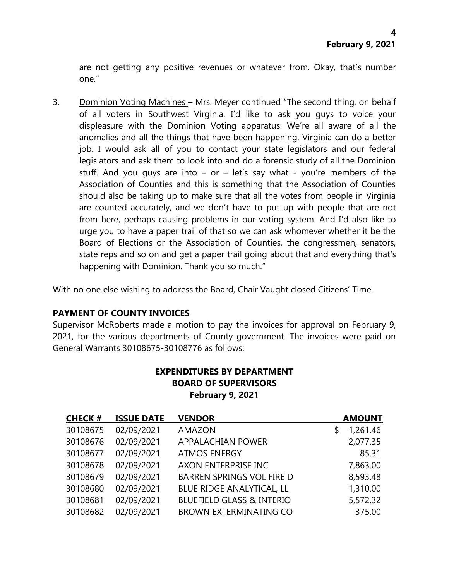are not getting any positive revenues or whatever from. Okay, that's number one."

3. Dominion Voting Machines – Mrs. Meyer continued "The second thing, on behalf of all voters in Southwest Virginia, I'd like to ask you guys to voice your displeasure with the Dominion Voting apparatus. We're all aware of all the anomalies and all the things that have been happening. Virginia can do a better job. I would ask all of you to contact your state legislators and our federal legislators and ask them to look into and do a forensic study of all the Dominion stuff. And you guys are into  $-$  or  $-$  let's say what - you're members of the Association of Counties and this is something that the Association of Counties should also be taking up to make sure that all the votes from people in Virginia are counted accurately, and we don't have to put up with people that are not from here, perhaps causing problems in our voting system. And I'd also like to urge you to have a paper trail of that so we can ask whomever whether it be the Board of Elections or the Association of Counties, the congressmen, senators, state reps and so on and get a paper trail going about that and everything that's happening with Dominion. Thank you so much."

With no one else wishing to address the Board, Chair Vaught closed Citizens' Time.

### **PAYMENT OF COUNTY INVOICES**

Supervisor McRoberts made a motion to pay the invoices for approval on February 9, 2021, for the various departments of County government. The invoices were paid on General Warrants 30108675-30108776 as follows:

## **EXPENDITURES BY DEPARTMENT BOARD OF SUPERVISORS February 9, 2021**

| <b>CHECK #</b> | <b>ISSUE DATE</b> | <b>VENDOR</b>                        | <b>AMOUNT</b>  |
|----------------|-------------------|--------------------------------------|----------------|
| 30108675       | 02/09/2021        | <b>AMAZON</b>                        | \$<br>1,261.46 |
| 30108676       | 02/09/2021        | APPALACHIAN POWER                    | 2,077.35       |
| 30108677       | 02/09/2021        | <b>ATMOS ENERGY</b>                  | 85.31          |
| 30108678       | 02/09/2021        | AXON ENTERPRISE INC                  | 7,863.00       |
| 30108679       | 02/09/2021        | <b>BARREN SPRINGS VOL FIRE D</b>     | 8,593.48       |
| 30108680       | 02/09/2021        | BLUE RIDGE ANALYTICAL, LL            | 1,310.00       |
| 30108681       | 02/09/2021        | <b>BLUEFIELD GLASS &amp; INTERIO</b> | 5,572.32       |
| 30108682       | 02/09/2021        | <b>BROWN EXTERMINATING CO</b>        | 375.00         |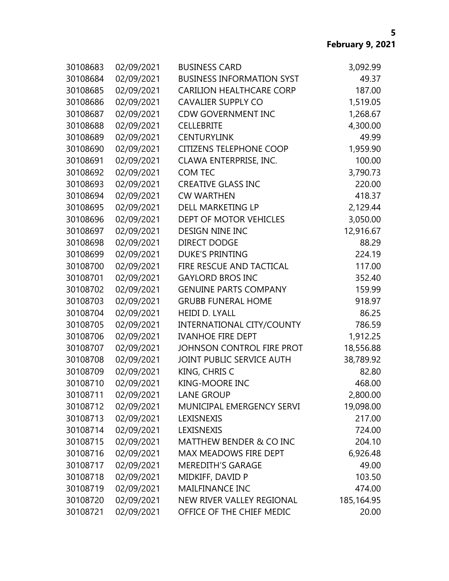| 30108683 | 02/09/2021 | <b>BUSINESS CARD</b>               | 3,092.99   |
|----------|------------|------------------------------------|------------|
| 30108684 | 02/09/2021 | <b>BUSINESS INFORMATION SYST</b>   | 49.37      |
| 30108685 | 02/09/2021 | <b>CARILION HEALTHCARE CORP</b>    | 187.00     |
| 30108686 | 02/09/2021 | <b>CAVALIER SUPPLY CO</b>          | 1,519.05   |
| 30108687 | 02/09/2021 | <b>CDW GOVERNMENT INC</b>          | 1,268.67   |
| 30108688 | 02/09/2021 | <b>CELLEBRITE</b>                  | 4,300.00   |
| 30108689 | 02/09/2021 | <b>CENTURYLINK</b>                 | 49.99      |
| 30108690 | 02/09/2021 | <b>CITIZENS TELEPHONE COOP</b>     | 1,959.90   |
| 30108691 | 02/09/2021 | CLAWA ENTERPRISE, INC.             | 100.00     |
| 30108692 | 02/09/2021 | <b>COM TEC</b>                     | 3,790.73   |
| 30108693 | 02/09/2021 | <b>CREATIVE GLASS INC</b>          | 220.00     |
| 30108694 | 02/09/2021 | <b>CW WARTHEN</b>                  | 418.37     |
| 30108695 | 02/09/2021 | DELL MARKETING LP                  | 2,129.44   |
| 30108696 | 02/09/2021 | DEPT OF MOTOR VEHICLES             | 3,050.00   |
| 30108697 | 02/09/2021 | <b>DESIGN NINE INC</b>             | 12,916.67  |
| 30108698 | 02/09/2021 | <b>DIRECT DODGE</b>                | 88.29      |
| 30108699 | 02/09/2021 | <b>DUKE'S PRINTING</b>             | 224.19     |
| 30108700 | 02/09/2021 | FIRE RESCUE AND TACTICAL           | 117.00     |
| 30108701 | 02/09/2021 | <b>GAYLORD BROS INC</b>            | 352.40     |
| 30108702 | 02/09/2021 | <b>GENUINE PARTS COMPANY</b>       | 159.99     |
| 30108703 | 02/09/2021 | <b>GRUBB FUNERAL HOME</b>          | 918.97     |
| 30108704 | 02/09/2021 | <b>HEIDI D. LYALL</b>              | 86.25      |
| 30108705 | 02/09/2021 | INTERNATIONAL CITY/COUNTY          | 786.59     |
| 30108706 | 02/09/2021 | <b>IVANHOE FIRE DEPT</b>           | 1,912.25   |
| 30108707 | 02/09/2021 | JOHNSON CONTROL FIRE PROT          | 18,556.88  |
| 30108708 | 02/09/2021 | JOINT PUBLIC SERVICE AUTH          | 38,789.92  |
| 30108709 | 02/09/2021 | KING, CHRIS C                      | 82.80      |
| 30108710 | 02/09/2021 | <b>KING-MOORE INC</b>              | 468.00     |
| 30108711 | 02/09/2021 | <b>LANE GROUP</b>                  | 2,800.00   |
| 30108712 | 02/09/2021 | MUNICIPAL EMERGENCY SERVI          | 19,098.00  |
| 30108713 | 02/09/2021 | LEXISNEXIS                         | 217.00     |
| 30108714 | 02/09/2021 | LEXISNEXIS                         | 724.00     |
| 30108715 | 02/09/2021 | <b>MATTHEW BENDER &amp; CO INC</b> | 204.10     |
| 30108716 | 02/09/2021 | MAX MEADOWS FIRE DEPT              | 6,926.48   |
| 30108717 | 02/09/2021 | <b>MEREDITH'S GARAGE</b>           | 49.00      |
| 30108718 | 02/09/2021 | MIDKIFF, DAVID P                   | 103.50     |
| 30108719 | 02/09/2021 | <b>MAILFINANCE INC</b>             | 474.00     |
| 30108720 | 02/09/2021 | NEW RIVER VALLEY REGIONAL          | 185,164.95 |
| 30108721 | 02/09/2021 | OFFICE OF THE CHIEF MEDIC          | 20.00      |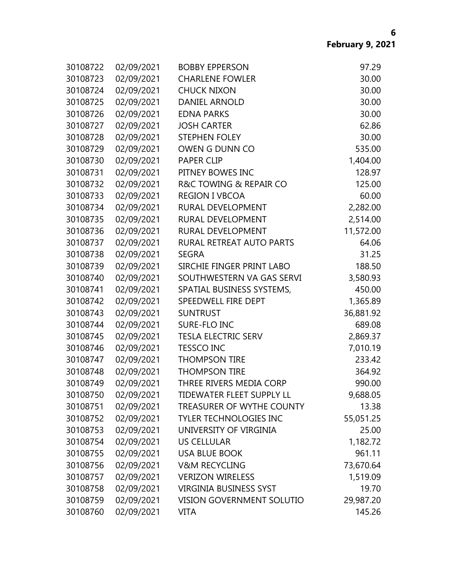| 30108722 | 02/09/2021 | <b>BOBBY EPPERSON</b>            | 97.29     |
|----------|------------|----------------------------------|-----------|
| 30108723 | 02/09/2021 | <b>CHARLENE FOWLER</b>           | 30.00     |
| 30108724 | 02/09/2021 | <b>CHUCK NIXON</b>               | 30.00     |
| 30108725 | 02/09/2021 | <b>DANIEL ARNOLD</b>             | 30.00     |
| 30108726 | 02/09/2021 | <b>EDNA PARKS</b>                | 30.00     |
| 30108727 | 02/09/2021 | <b>JOSH CARTER</b>               | 62.86     |
| 30108728 | 02/09/2021 | <b>STEPHEN FOLEY</b>             | 30.00     |
| 30108729 | 02/09/2021 | OWEN G DUNN CO                   | 535.00    |
| 30108730 | 02/09/2021 | <b>PAPER CLIP</b>                | 1,404.00  |
| 30108731 | 02/09/2021 | PITNEY BOWES INC                 | 128.97    |
| 30108732 | 02/09/2021 | R&C TOWING & REPAIR CO           | 125.00    |
| 30108733 | 02/09/2021 | <b>REGION I VBCOA</b>            | 60.00     |
| 30108734 | 02/09/2021 | RURAL DEVELOPMENT                | 2,282.00  |
| 30108735 | 02/09/2021 | <b>RURAL DEVELOPMENT</b>         | 2,514.00  |
| 30108736 | 02/09/2021 | RURAL DEVELOPMENT                | 11,572.00 |
| 30108737 | 02/09/2021 | RURAL RETREAT AUTO PARTS         | 64.06     |
| 30108738 | 02/09/2021 | <b>SEGRA</b>                     | 31.25     |
| 30108739 | 02/09/2021 | SIRCHIE FINGER PRINT LABO        | 188.50    |
| 30108740 | 02/09/2021 | SOUTHWESTERN VA GAS SERVI        | 3,580.93  |
| 30108741 | 02/09/2021 | SPATIAL BUSINESS SYSTEMS,        | 450.00    |
| 30108742 | 02/09/2021 | SPEEDWELL FIRE DEPT              | 1,365.89  |
| 30108743 | 02/09/2021 | <b>SUNTRUST</b>                  | 36,881.92 |
| 30108744 | 02/09/2021 | SURE-FLO INC                     | 689.08    |
| 30108745 | 02/09/2021 | <b>TESLA ELECTRIC SERV</b>       | 2,869.37  |
| 30108746 | 02/09/2021 | <b>TESSCO INC</b>                | 7,010.19  |
| 30108747 | 02/09/2021 | <b>THOMPSON TIRE</b>             | 233.42    |
| 30108748 | 02/09/2021 | <b>THOMPSON TIRE</b>             | 364.92    |
| 30108749 | 02/09/2021 | THREE RIVERS MEDIA CORP          | 990.00    |
| 30108750 | 02/09/2021 | <b>TIDEWATER FLEET SUPPLY LL</b> | 9,688.05  |
| 30108751 | 02/09/2021 | TREASURER OF WYTHE COUNTY        | 13.38     |
| 30108752 | 02/09/2021 | <b>TYLER TECHNOLOGIES INC</b>    | 55,051.25 |
| 30108753 | 02/09/2021 | UNIVERSITY OF VIRGINIA           | 25.00     |
| 30108754 | 02/09/2021 | <b>US CELLULAR</b>               | 1,182.72  |
| 30108755 | 02/09/2021 | <b>USA BLUE BOOK</b>             | 961.11    |
| 30108756 | 02/09/2021 | <b>V&amp;M RECYCLING</b>         | 73,670.64 |
| 30108757 | 02/09/2021 | <b>VERIZON WIRELESS</b>          | 1,519.09  |
| 30108758 | 02/09/2021 | <b>VIRGINIA BUSINESS SYST</b>    | 19.70     |
| 30108759 | 02/09/2021 | <b>VISION GOVERNMENT SOLUTIO</b> | 29,987.20 |
| 30108760 | 02/09/2021 | <b>VITA</b>                      | 145.26    |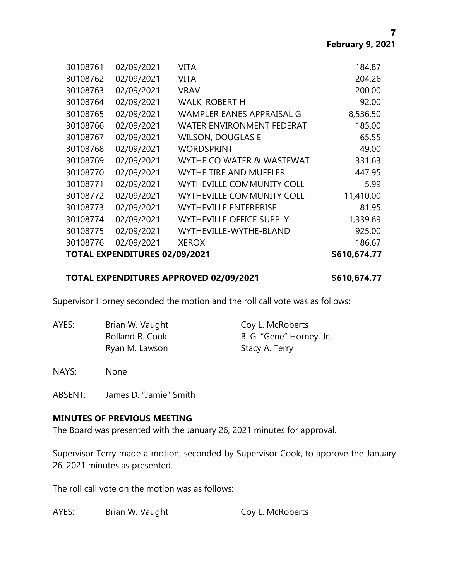|          | <b>TOTAL EXPENDITURES 02/09/2021</b> |                                  |           |
|----------|--------------------------------------|----------------------------------|-----------|
| 30108776 | 02/09/2021                           | <b>XEROX</b>                     | 186.67    |
| 30108775 | 02/09/2021                           | WYTHEVILLE-WYTHE-BLAND           | 925.00    |
| 30108774 | 02/09/2021                           | <b>WYTHEVILLE OFFICE SUPPLY</b>  | 1,339.69  |
| 30108773 | 02/09/2021                           | <b>WYTHEVILLE ENTERPRISE</b>     | 81.95     |
| 30108772 | 02/09/2021                           | <b>WYTHEVILLE COMMUNITY COLL</b> | 11,410.00 |
| 30108771 | 02/09/2021                           | <b>WYTHEVILLE COMMUNITY COLL</b> | 5.99      |
| 30108770 | 02/09/2021                           | <b>WYTHE TIRE AND MUFFLER</b>    | 447.95    |
| 30108769 | 02/09/2021                           | WYTHE CO WATER & WASTEWAT        | 331.63    |
| 30108768 | 02/09/2021                           | <b>WORDSPRINT</b>                | 49.00     |
| 30108767 | 02/09/2021                           | <b>WILSON, DOUGLAS E</b>         | 65.55     |
| 30108766 | 02/09/2021                           | <b>WATER ENVIRONMENT FEDERAT</b> | 185.00    |
| 30108765 | 02/09/2021                           | WAMPLER EANES APPRAISAL G        | 8,536.50  |
| 30108764 | 02/09/2021                           | <b>WALK, ROBERT H</b>            | 92.00     |
| 30108763 | 02/09/2021                           | <b>VRAV</b>                      | 200.00    |
| 30108762 | 02/09/2021                           | VITA                             | 204.26    |
| 30108761 | 02/09/2021                           | <b>VITA</b>                      | 184.87    |
|          |                                      |                                  |           |

### **TOTAL EXPENDITURES APPROVED 02/09/2021 \$610,674.77**

Supervisor Horney seconded the motion and the roll call vote was as follows:

AYES: Brian W. Vaught Coy L. McRoberts Rolland R. Cook B. G. "Gene" Horney, Jr. Ryan M. Lawson Stacy A. Terry

NAYS: None

ABSENT: James D. "Jamie" Smith

### **MINUTES OF PREVIOUS MEETING**

The Board was presented with the January 26, 2021 minutes for approval.

Supervisor Terry made a motion, seconded by Supervisor Cook, to approve the January 26, 2021 minutes as presented.

The roll call vote on the motion was as follows:

AYES: Brian W. Vaught Coy L. McRoberts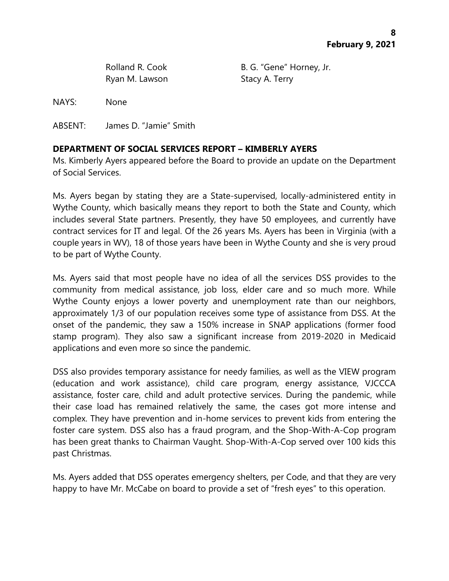Ryan M. Lawson Stacy A. Terry

Rolland R. Cook B. G. "Gene" Horney, Jr.

NAYS: None

ABSENT: James D. "Jamie" Smith

## **DEPARTMENT OF SOCIAL SERVICES REPORT – KIMBERLY AYERS**

Ms. Kimberly Ayers appeared before the Board to provide an update on the Department of Social Services.

Ms. Ayers began by stating they are a State-supervised, locally-administered entity in Wythe County, which basically means they report to both the State and County, which includes several State partners. Presently, they have 50 employees, and currently have contract services for IT and legal. Of the 26 years Ms. Ayers has been in Virginia (with a couple years in WV), 18 of those years have been in Wythe County and she is very proud to be part of Wythe County.

Ms. Ayers said that most people have no idea of all the services DSS provides to the community from medical assistance, job loss, elder care and so much more. While Wythe County enjoys a lower poverty and unemployment rate than our neighbors, approximately 1/3 of our population receives some type of assistance from DSS. At the onset of the pandemic, they saw a 150% increase in SNAP applications (former food stamp program). They also saw a significant increase from 2019-2020 in Medicaid applications and even more so since the pandemic.

DSS also provides temporary assistance for needy families, as well as the VIEW program (education and work assistance), child care program, energy assistance, VJCCCA assistance, foster care, child and adult protective services. During the pandemic, while their case load has remained relatively the same, the cases got more intense and complex. They have prevention and in-home services to prevent kids from entering the foster care system. DSS also has a fraud program, and the Shop-With-A-Cop program has been great thanks to Chairman Vaught. Shop-With-A-Cop served over 100 kids this past Christmas.

Ms. Ayers added that DSS operates emergency shelters, per Code, and that they are very happy to have Mr. McCabe on board to provide a set of "fresh eyes" to this operation.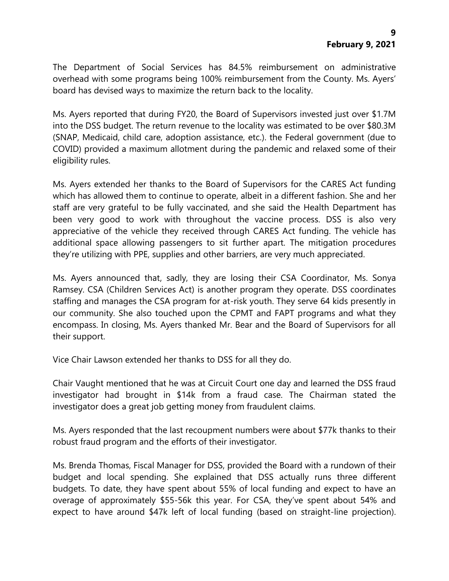The Department of Social Services has 84.5% reimbursement on administrative overhead with some programs being 100% reimbursement from the County. Ms. Ayers' board has devised ways to maximize the return back to the locality.

Ms. Ayers reported that during FY20, the Board of Supervisors invested just over \$1.7M into the DSS budget. The return revenue to the locality was estimated to be over \$80.3M (SNAP, Medicaid, child care, adoption assistance, etc.). the Federal government (due to COVID) provided a maximum allotment during the pandemic and relaxed some of their eligibility rules.

Ms. Ayers extended her thanks to the Board of Supervisors for the CARES Act funding which has allowed them to continue to operate, albeit in a different fashion. She and her staff are very grateful to be fully vaccinated, and she said the Health Department has been very good to work with throughout the vaccine process. DSS is also very appreciative of the vehicle they received through CARES Act funding. The vehicle has additional space allowing passengers to sit further apart. The mitigation procedures they're utilizing with PPE, supplies and other barriers, are very much appreciated.

Ms. Ayers announced that, sadly, they are losing their CSA Coordinator, Ms. Sonya Ramsey. CSA (Children Services Act) is another program they operate. DSS coordinates staffing and manages the CSA program for at-risk youth. They serve 64 kids presently in our community. She also touched upon the CPMT and FAPT programs and what they encompass. In closing, Ms. Ayers thanked Mr. Bear and the Board of Supervisors for all their support.

Vice Chair Lawson extended her thanks to DSS for all they do.

Chair Vaught mentioned that he was at Circuit Court one day and learned the DSS fraud investigator had brought in \$14k from a fraud case. The Chairman stated the investigator does a great job getting money from fraudulent claims.

Ms. Ayers responded that the last recoupment numbers were about \$77k thanks to their robust fraud program and the efforts of their investigator.

Ms. Brenda Thomas, Fiscal Manager for DSS, provided the Board with a rundown of their budget and local spending. She explained that DSS actually runs three different budgets. To date, they have spent about 55% of local funding and expect to have an overage of approximately \$55-56k this year. For CSA, they've spent about 54% and expect to have around \$47k left of local funding (based on straight-line projection).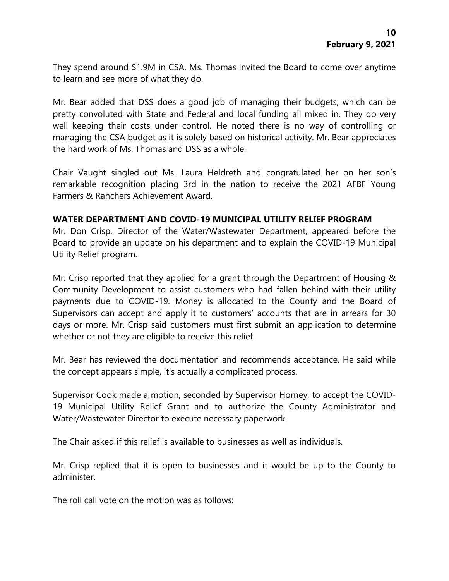They spend around \$1.9M in CSA. Ms. Thomas invited the Board to come over anytime to learn and see more of what they do.

Mr. Bear added that DSS does a good job of managing their budgets, which can be pretty convoluted with State and Federal and local funding all mixed in. They do very well keeping their costs under control. He noted there is no way of controlling or managing the CSA budget as it is solely based on historical activity. Mr. Bear appreciates the hard work of Ms. Thomas and DSS as a whole.

Chair Vaught singled out Ms. Laura Heldreth and congratulated her on her son's remarkable recognition placing 3rd in the nation to receive the 2021 AFBF Young Farmers & Ranchers Achievement Award.

### **WATER DEPARTMENT AND COVID-19 MUNICIPAL UTILITY RELIEF PROGRAM**

Mr. Don Crisp, Director of the Water/Wastewater Department, appeared before the Board to provide an update on his department and to explain the COVID-19 Municipal Utility Relief program.

Mr. Crisp reported that they applied for a grant through the Department of Housing & Community Development to assist customers who had fallen behind with their utility payments due to COVID-19. Money is allocated to the County and the Board of Supervisors can accept and apply it to customers' accounts that are in arrears for 30 days or more. Mr. Crisp said customers must first submit an application to determine whether or not they are eligible to receive this relief.

Mr. Bear has reviewed the documentation and recommends acceptance. He said while the concept appears simple, it's actually a complicated process.

Supervisor Cook made a motion, seconded by Supervisor Horney, to accept the COVID-19 Municipal Utility Relief Grant and to authorize the County Administrator and Water/Wastewater Director to execute necessary paperwork.

The Chair asked if this relief is available to businesses as well as individuals.

Mr. Crisp replied that it is open to businesses and it would be up to the County to administer.

The roll call vote on the motion was as follows: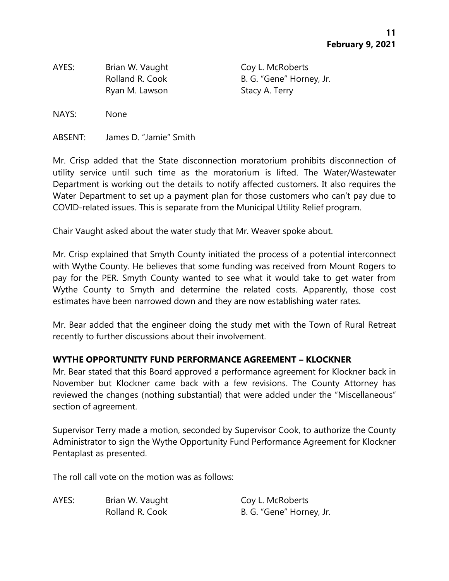AYES: Brian W. Vaught Coy L. McRoberts Ryan M. Lawson Stacy A. Terry

Rolland R. Cook B. G. "Gene" Horney, Jr.

NAYS: None

ABSENT: James D. "Jamie" Smith

Mr. Crisp added that the State disconnection moratorium prohibits disconnection of utility service until such time as the moratorium is lifted. The Water/Wastewater Department is working out the details to notify affected customers. It also requires the Water Department to set up a payment plan for those customers who can't pay due to COVID-related issues. This is separate from the Municipal Utility Relief program.

Chair Vaught asked about the water study that Mr. Weaver spoke about.

Mr. Crisp explained that Smyth County initiated the process of a potential interconnect with Wythe County. He believes that some funding was received from Mount Rogers to pay for the PER. Smyth County wanted to see what it would take to get water from Wythe County to Smyth and determine the related costs. Apparently, those cost estimates have been narrowed down and they are now establishing water rates.

Mr. Bear added that the engineer doing the study met with the Town of Rural Retreat recently to further discussions about their involvement.

### **WYTHE OPPORTUNITY FUND PERFORMANCE AGREEMENT – KLOCKNER**

Mr. Bear stated that this Board approved a performance agreement for Klockner back in November but Klockner came back with a few revisions. The County Attorney has reviewed the changes (nothing substantial) that were added under the "Miscellaneous" section of agreement.

Supervisor Terry made a motion, seconded by Supervisor Cook, to authorize the County Administrator to sign the Wythe Opportunity Fund Performance Agreement for Klockner Pentaplast as presented.

The roll call vote on the motion was as follows:

AYES: Brian W. Vaught Coy L. McRoberts

Rolland R. Cook B. G. "Gene" Horney, Jr.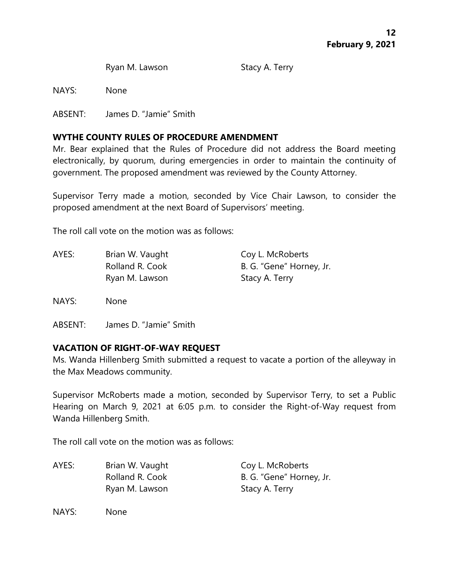Ryan M. Lawson Stacy A. Terry

NAYS: None

ABSENT: James D. "Jamie" Smith

## **WYTHE COUNTY RULES OF PROCEDURE AMENDMENT**

Mr. Bear explained that the Rules of Procedure did not address the Board meeting electronically, by quorum, during emergencies in order to maintain the continuity of government. The proposed amendment was reviewed by the County Attorney.

Supervisor Terry made a motion, seconded by Vice Chair Lawson, to consider the proposed amendment at the next Board of Supervisors' meeting.

The roll call vote on the motion was as follows:

| AYES: | Brian W. Vaught | Coy L. McRoberts         |
|-------|-----------------|--------------------------|
|       | Rolland R. Cook | B. G. "Gene" Horney, Jr. |
|       | Ryan M. Lawson  | Stacy A. Terry           |

NAYS: None

ABSENT: James D. "Jamie" Smith

### **VACATION OF RIGHT-OF-WAY REQUEST**

Ms. Wanda Hillenberg Smith submitted a request to vacate a portion of the alleyway in the Max Meadows community.

Supervisor McRoberts made a motion, seconded by Supervisor Terry, to set a Public Hearing on March 9, 2021 at 6:05 p.m. to consider the Right-of-Way request from Wanda Hillenberg Smith.

The roll call vote on the motion was as follows:

AYES: Brian W. Vaught Coy L. McRoberts Rolland R. Cook B. G. "Gene" Horney, Jr. Ryan M. Lawson Stacy A. Terry

NAYS: None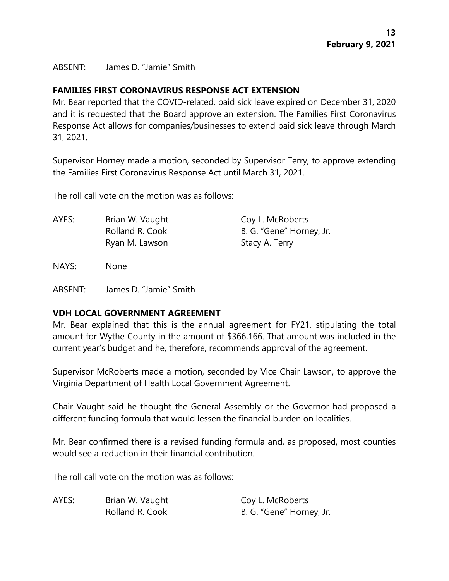ABSENT: James D. "Jamie" Smith

## **FAMILIES FIRST CORONAVIRUS RESPONSE ACT EXTENSION**

Mr. Bear reported that the COVID-related, paid sick leave expired on December 31, 2020 and it is requested that the Board approve an extension. The Families First Coronavirus Response Act allows for companies/businesses to extend paid sick leave through March 31, 2021.

Supervisor Horney made a motion, seconded by Supervisor Terry, to approve extending the Families First Coronavirus Response Act until March 31, 2021.

The roll call vote on the motion was as follows:

AYES: Brian W. Vaught Coy L. McRoberts Rolland R. Cook B. G. "Gene" Horney, Jr. Ryan M. Lawson Stacy A. Terry

NAYS: None

ABSENT: James D. "Jamie" Smith

### **VDH LOCAL GOVERNMENT AGREEMENT**

Mr. Bear explained that this is the annual agreement for FY21, stipulating the total amount for Wythe County in the amount of \$366,166. That amount was included in the current year's budget and he, therefore, recommends approval of the agreement.

Supervisor McRoberts made a motion, seconded by Vice Chair Lawson, to approve the Virginia Department of Health Local Government Agreement.

Chair Vaught said he thought the General Assembly or the Governor had proposed a different funding formula that would lessen the financial burden on localities.

Mr. Bear confirmed there is a revised funding formula and, as proposed, most counties would see a reduction in their financial contribution.

The roll call vote on the motion was as follows:

| AYES: | Brian W. Vaught | Coy L. McRoberts         |
|-------|-----------------|--------------------------|
|       | Rolland R. Cook | B. G. "Gene" Horney, Jr. |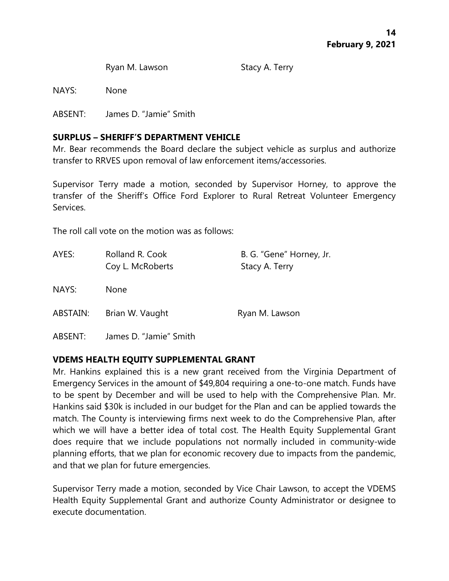Ryan M. Lawson Stacy A. Terry

NAYS: None

ABSENT: James D. "Jamie" Smith

### **SURPLUS – SHERIFF'S DEPARTMENT VEHICLE**

Mr. Bear recommends the Board declare the subject vehicle as surplus and authorize transfer to RRVES upon removal of law enforcement items/accessories.

Supervisor Terry made a motion, seconded by Supervisor Horney, to approve the transfer of the Sheriff's Office Ford Explorer to Rural Retreat Volunteer Emergency **Services** 

The roll call vote on the motion was as follows:

| AYES:    | Rolland R. Cook<br>Coy L. McRoberts | B. G. "Gene" Horney, Jr.<br>Stacy A. Terry |
|----------|-------------------------------------|--------------------------------------------|
| NAYS:    | <b>None</b>                         |                                            |
| ABSTAIN: | Brian W. Vaught                     | Ryan M. Lawson                             |
| ABSENT:  | James D. "Jamie" Smith              |                                            |

### **VDEMS HEALTH EQUITY SUPPLEMENTAL GRANT**

Mr. Hankins explained this is a new grant received from the Virginia Department of Emergency Services in the amount of \$49,804 requiring a one-to-one match. Funds have to be spent by December and will be used to help with the Comprehensive Plan. Mr. Hankins said \$30k is included in our budget for the Plan and can be applied towards the match. The County is interviewing firms next week to do the Comprehensive Plan, after which we will have a better idea of total cost. The Health Equity Supplemental Grant does require that we include populations not normally included in community-wide planning efforts, that we plan for economic recovery due to impacts from the pandemic, and that we plan for future emergencies.

Supervisor Terry made a motion, seconded by Vice Chair Lawson, to accept the VDEMS Health Equity Supplemental Grant and authorize County Administrator or designee to execute documentation.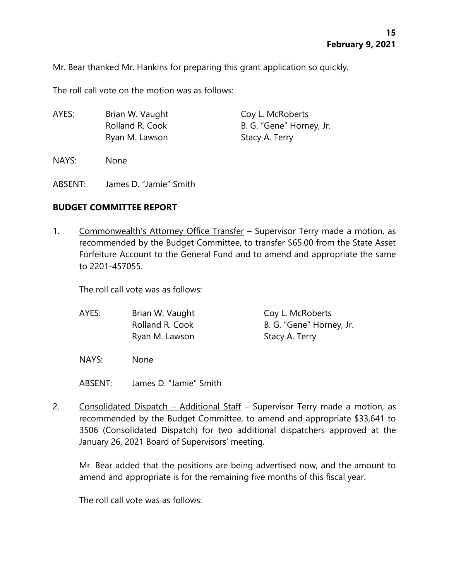Mr. Bear thanked Mr. Hankins for preparing this grant application so quickly.

The roll call vote on the motion was as follows:

AYES: Brian W. Vaught Coy L. McRoberts Ryan M. Lawson Stacy A. Terry

Rolland R. Cook B. G. "Gene" Horney, Jr.

- NAYS: None
- ABSENT: James D. "Jamie" Smith

#### **BUDGET COMMITTEE REPORT**

1. Commonwealth's Attorney Office Transfer - Supervisor Terry made a motion, as recommended by the Budget Committee, to transfer \$65.00 from the State Asset Forfeiture Account to the General Fund and to amend and appropriate the same to 2201-457055.

The roll call vote was as follows:

| AYES: | Brian W. Vaught | Coy L. McRoberts         |
|-------|-----------------|--------------------------|
|       | Rolland R. Cook | B. G. "Gene" Horney, Jr. |
|       | Ryan M. Lawson  | Stacy A. Terry           |

NAYS: None

ABSENT: James D. "Jamie" Smith

2. Consolidated Dispatch – Additional Staff – Supervisor Terry made a motion, as recommended by the Budget Committee, to amend and appropriate \$33,641 to 3506 (Consolidated Dispatch) for two additional dispatchers approved at the January 26, 2021 Board of Supervisors' meeting.

Mr. Bear added that the positions are being advertised now, and the amount to amend and appropriate is for the remaining five months of this fiscal year.

The roll call vote was as follows: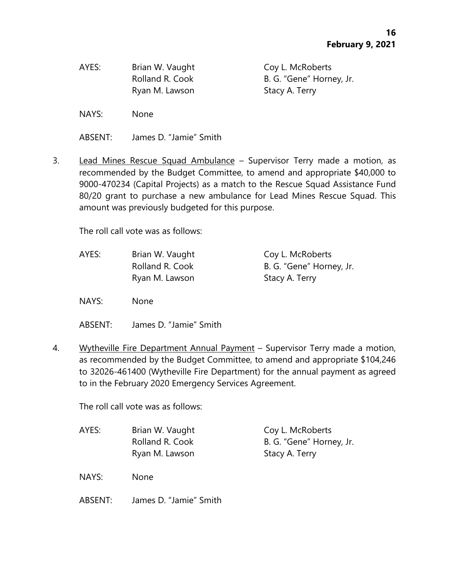| AYES: | Brian W. Vaught |
|-------|-----------------|
|       | Rolland R. Cook |
|       | Ryan M. Lawson  |

Coy L. McRoberts B. G. "Gene" Horney, Jr. Stacy A. Terry

NAYS: None

ABSENT: James D. "Jamie" Smith

3. Lead Mines Rescue Squad Ambulance – Supervisor Terry made a motion, as recommended by the Budget Committee, to amend and appropriate \$40,000 to 9000-470234 (Capital Projects) as a match to the Rescue Squad Assistance Fund 80/20 grant to purchase a new ambulance for Lead Mines Rescue Squad. This amount was previously budgeted for this purpose.

The roll call vote was as follows:

- AYES: Brian W. Vaught Coy L. McRoberts Rolland R. Cook B. G. "Gene" Horney, Jr. Ryan M. Lawson Stacy A. Terry
- NAYS: None

ABSENT: James D. "Jamie" Smith

4. Wytheville Fire Department Annual Payment – Supervisor Terry made a motion, as recommended by the Budget Committee, to amend and appropriate \$104,246 to 32026-461400 (Wytheville Fire Department) for the annual payment as agreed to in the February 2020 Emergency Services Agreement.

The roll call vote was as follows:

- AYES: Brian W. Vaught Coy L. McRoberts Rolland R. Cook B. G. "Gene" Horney, Jr. Ryan M. Lawson Stacy A. Terry
- NAYS: None
- ABSENT: James D. "Jamie" Smith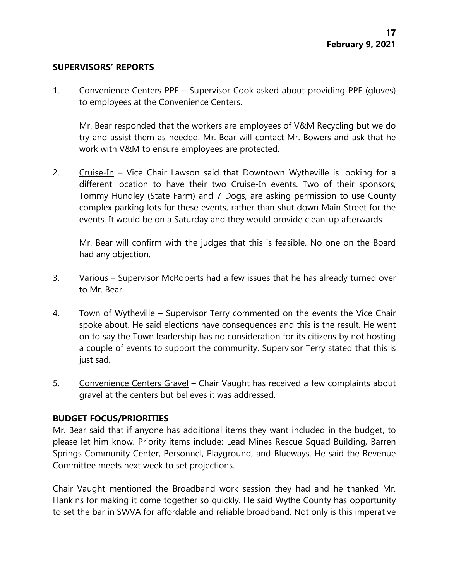#### **SUPERVISORS' REPORTS**

1. Convenience Centers PPE – Supervisor Cook asked about providing PPE (gloves) to employees at the Convenience Centers.

Mr. Bear responded that the workers are employees of V&M Recycling but we do try and assist them as needed. Mr. Bear will contact Mr. Bowers and ask that he work with V&M to ensure employees are protected.

2. Cruise-In – Vice Chair Lawson said that Downtown Wytheville is looking for a different location to have their two Cruise-In events. Two of their sponsors, Tommy Hundley (State Farm) and 7 Dogs, are asking permission to use County complex parking lots for these events, rather than shut down Main Street for the events. It would be on a Saturday and they would provide clean-up afterwards.

Mr. Bear will confirm with the judges that this is feasible. No one on the Board had any objection.

- 3. Various Supervisor McRoberts had a few issues that he has already turned over to Mr. Bear.
- 4. Town of Wytheville Supervisor Terry commented on the events the Vice Chair spoke about. He said elections have consequences and this is the result. He went on to say the Town leadership has no consideration for its citizens by not hosting a couple of events to support the community. Supervisor Terry stated that this is just sad.
- 5. Convenience Centers Gravel Chair Vaught has received a few complaints about gravel at the centers but believes it was addressed.

### **BUDGET FOCUS/PRIORITIES**

Mr. Bear said that if anyone has additional items they want included in the budget, to please let him know. Priority items include: Lead Mines Rescue Squad Building, Barren Springs Community Center, Personnel, Playground, and Blueways. He said the Revenue Committee meets next week to set projections.

Chair Vaught mentioned the Broadband work session they had and he thanked Mr. Hankins for making it come together so quickly. He said Wythe County has opportunity to set the bar in SWVA for affordable and reliable broadband. Not only is this imperative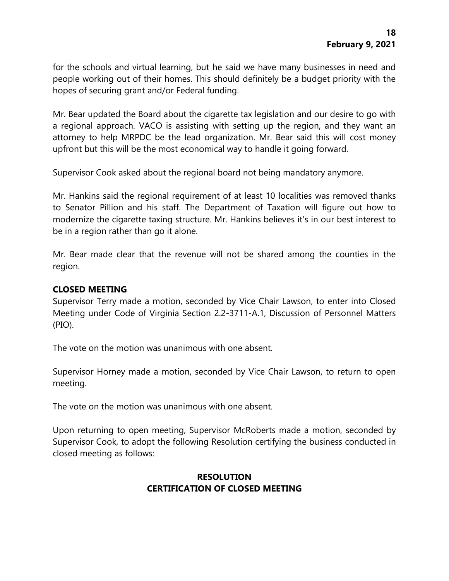for the schools and virtual learning, but he said we have many businesses in need and people working out of their homes. This should definitely be a budget priority with the hopes of securing grant and/or Federal funding.

Mr. Bear updated the Board about the cigarette tax legislation and our desire to go with a regional approach. VACO is assisting with setting up the region, and they want an attorney to help MRPDC be the lead organization. Mr. Bear said this will cost money upfront but this will be the most economical way to handle it going forward.

Supervisor Cook asked about the regional board not being mandatory anymore.

Mr. Hankins said the regional requirement of at least 10 localities was removed thanks to Senator Pillion and his staff. The Department of Taxation will figure out how to modernize the cigarette taxing structure. Mr. Hankins believes it's in our best interest to be in a region rather than go it alone.

Mr. Bear made clear that the revenue will not be shared among the counties in the region.

### **CLOSED MEETING**

Supervisor Terry made a motion, seconded by Vice Chair Lawson, to enter into Closed Meeting under Code of Virginia Section 2.2-3711-A.1, Discussion of Personnel Matters (PIO).

The vote on the motion was unanimous with one absent.

Supervisor Horney made a motion, seconded by Vice Chair Lawson, to return to open meeting.

The vote on the motion was unanimous with one absent.

Upon returning to open meeting, Supervisor McRoberts made a motion, seconded by Supervisor Cook, to adopt the following Resolution certifying the business conducted in closed meeting as follows:

# **RESOLUTION CERTIFICATION OF CLOSED MEETING**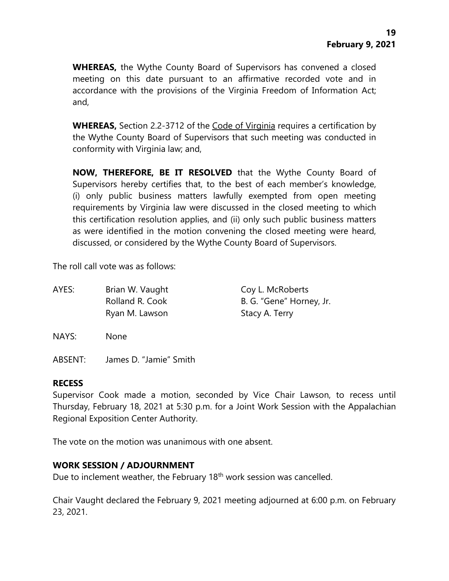**WHEREAS,** the Wythe County Board of Supervisors has convened a closed meeting on this date pursuant to an affirmative recorded vote and in accordance with the provisions of the Virginia Freedom of Information Act; and,

**WHEREAS,** Section 2.2-3712 of the Code of Virginia requires a certification by the Wythe County Board of Supervisors that such meeting was conducted in conformity with Virginia law; and,

**NOW, THEREFORE, BE IT RESOLVED** that the Wythe County Board of Supervisors hereby certifies that, to the best of each member's knowledge, (i) only public business matters lawfully exempted from open meeting requirements by Virginia law were discussed in the closed meeting to which this certification resolution applies, and (ii) only such public business matters as were identified in the motion convening the closed meeting were heard, discussed, or considered by the Wythe County Board of Supervisors.

The roll call vote was as follows:

| AYES: | Brian W. Vaught | Coy L. McRoberts         |
|-------|-----------------|--------------------------|
|       | Rolland R. Cook | B. G. "Gene" Horney, Jr. |
|       | Ryan M. Lawson  | Stacy A. Terry           |

NAYS: None

ABSENT: James D. "Jamie" Smith

#### **RECESS**

Supervisor Cook made a motion, seconded by Vice Chair Lawson, to recess until Thursday, February 18, 2021 at 5:30 p.m. for a Joint Work Session with the Appalachian Regional Exposition Center Authority.

The vote on the motion was unanimous with one absent.

### **WORK SESSION / ADJOURNMENT**

Due to inclement weather, the February 18<sup>th</sup> work session was cancelled.

Chair Vaught declared the February 9, 2021 meeting adjourned at 6:00 p.m. on February 23, 2021.